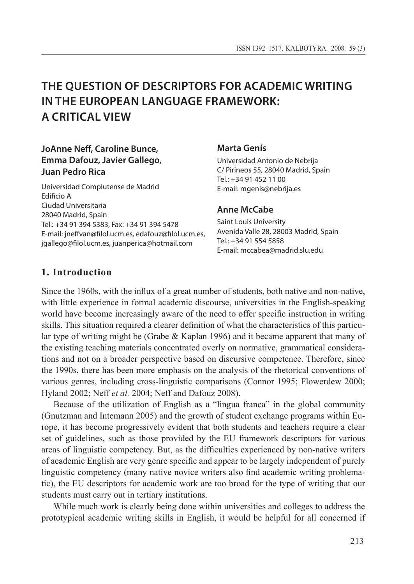# **The Question of Descriptors for Academic Writing IN THE EUROPEAN LANGUAGE FRAMEWORK: a Critical View**

# **JoAnne Neff, Caroline Bunce, Emma Dafouz, Javier Gallego, Juan Pedro Rica**

Universidad Complutense de Madrid Edificio A Ciudad Universitaria 28040 Madrid, Spain Tel.: +34 91 394 5383, Fax: +34 91 394 5478 E-mail: jneffvan@filol.ucm.es, edafouz@filol.ucm.es, jgallego@filol.ucm.es, juanperica@hotmail.com

### **Marta Genís**

Universidad Antonio de Nebrija C/ Pirineos 55, 28040 Madrid, Spain Tel.: +34 91 452 11 00 E-mail: mgenis@nebrija.es

### **Anne McCabe**

Saint Louis University Avenida Valle 28, 28003 Madrid, Spain Tel.: +34 91 554 5858 E-mail: mccabea@madrid.slu.edu

# **1. Introduction**

Since the 1960s, with the influx of a great number of students, both native and non-native, with little experience in formal academic discourse, universities in the English-speaking world have become increasingly aware of the need to offer specific instruction in writing skills. This situation required a clearer definition of what the characteristics of this particular type of writing might be (Grabe & Kaplan 1996) and it became apparent that many of the existing teaching materials concentrated overly on normative, grammatical considerations and not on a broader perspective based on discursive competence. Therefore, since the 1990s, there has been more emphasis on the analysis of the rhetorical conventions of various genres, including cross-linguistic comparisons (Connor 1995; Flowerdew 2000; Hyland 2002; Neff *et al.* 2004; Neff and Dafouz 2008).

Because of the utilization of English as a "lingua franca" in the global community (Gnutzman and Intemann 2005) and the growth of student exchange programs within Europe, it has become progressively evident that both students and teachers require a clear set of guidelines, such as those provided by the EU framework descriptors for various areas of linguistic competency. But, as the difficulties experienced by non-native writers of academic English are very genre specific and appear to be largely independent of purely linguistic competency (many native novice writers also find academic writing problematic), the EU descriptors for academic work are too broad for the type of writing that our students must carry out in tertiary institutions.

While much work is clearly being done within universities and colleges to address the prototypical academic writing skills in English, it would be helpful for all concerned if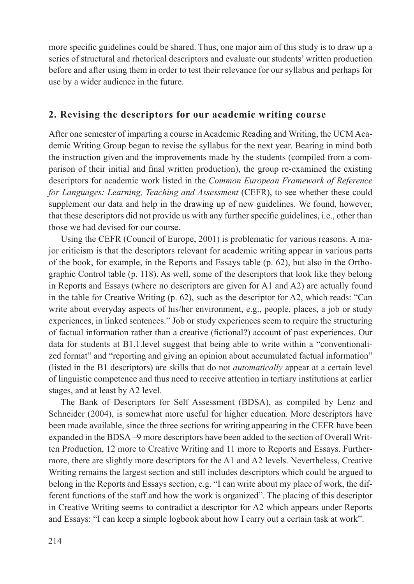more specific guidelines could be shared. Thus, one major aim of this study is to draw up a series of structural and rhetorical descriptors and evaluate our students' written production before and after using them in order to test their relevance for our syllabus and perhaps for use by a wider audience in the future.

# **2. Revising the descriptors for our academic writing course**

After one semester of imparting a course in Academic Reading and Writing, the UCM Academic Writing Group began to revise the syllabus for the next year. Bearing in mind both the instruction given and the improvements made by the students (compiled from a comparison of their initial and final written production), the group re-examined the existing descriptors for academic work listed in the *Common European Framework of Reference for Languages: Learning, Teaching and Assessment* (CEFR), to see whether these could supplement our data and help in the drawing up of new guidelines. We found, however, that these descriptors did not provide us with any further specific guidelines, i.e., other than those we had devised for our course.

Using the CEFR (Council of Europe, 2001) is problematic for various reasons. A major criticism is that the descriptors relevant for academic writing appear in various parts of the book, for example, in the Reports and Essays table (p. 62), but also in the Orthographic Control table (p. 118). As well, some of the descriptors that look like they belong in Reports and Essays (where no descriptors are given for A1 and A2) are actually found in the table for Creative Writing  $(p. 62)$ , such as the descriptor for A2, which reads: "Can write about everyday aspects of his/her environment, e.g., people, places, a job or study experiences, in linked sentences." Job or study experiences seem to require the structuring of factual information rather than a creative (fictional?) account of past experiences. Our data for students at B1.1.level suggest that being able to write within a "conventionalized format" and "reporting and giving an opinion about accumulated factual information" (listed in the B1 descriptors) are skills that do not *automatically* appear at a certain level of linguistic competence and thus need to receive attention in tertiary institutions at earlier stages, and at least by A2 level.

The Bank of Descriptors for Self Assessment (BDSA), as compiled by Lenz and Schneider (2004), is somewhat more useful for higher education. More descriptors have been made available, since the three sections for writing appearing in the CEFR have been expanded in the BDSA –9 more descriptors have been added to the section of Overall Written Production, 12 more to Creative Writing and 11 more to Reports and Essays. Furthermore, there are slightly more descriptors for the A1 and A2 levels. Nevertheless, Creative Writing remains the largest section and still includes descriptors which could be argued to belong in the Reports and Essays section, e.g. "I can write about my place of work, the different functions of the staff and how the work is organized". The placing of this descriptor in Creative Writing seems to contradict a descriptor for A2 which appears under Reports and Essays: "I can keep a simple logbook about how I carry out a certain task at work".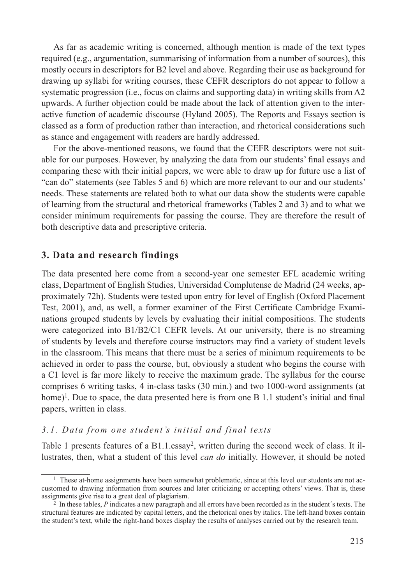As far as academic writing is concerned, although mention is made of the text types required (e.g., argumentation, summarising of information from a number of sources), this mostly occurs in descriptors for B2 level and above. Regarding their use as background for drawing up syllabi for writing courses, these CEFR descriptors do not appear to follow a systematic progression (i.e., focus on claims and supporting data) in writing skills from A2 upwards. A further objection could be made about the lack of attention given to the interactive function of academic discourse (Hyland 2005). The Reports and Essays section is classed as a form of production rather than interaction, and rhetorical considerations such as stance and engagement with readers are hardly addressed.

For the above-mentioned reasons, we found that the CEFR descriptors were not suitable for our purposes. However, by analyzing the data from our students' final essays and comparing these with their initial papers, we were able to draw up for future use a list of "can do" statements (see Tables 5 and 6) which are more relevant to our and our students' needs. These statements are related both to what our data show the students were capable of learning from the structural and rhetorical frameworks (Tables 2 and 3) and to what we consider minimum requirements for passing the course. They are therefore the result of both descriptive data and prescriptive criteria.

# **3. Data and research findings**

The data presented here come from a second-year one semester EFL academic writing class, Department of English Studies, Universidad Complutense de Madrid (24 weeks, approximately 72h). Students were tested upon entry for level of English (Oxford Placement Test, 2001), and, as well, a former examiner of the First Certificate Cambridge Examinations grouped students by levels by evaluating their initial compositions. The students were categorized into B1/B2/C1 CEFR levels. At our university, there is no streaming of students by levels and therefore course instructors may find a variety of student levels in the classroom. This means that there must be a series of minimum requirements to be achieved in order to pass the course, but, obviously a student who begins the course with a C1 level is far more likely to receive the maximum grade. The syllabus for the course comprises 6 writing tasks, 4 in-class tasks (30 min.) and two 1000-word assignments (at home)<sup>1</sup>. Due to space, the data presented here is from one B 1.1 student's initial and final papers, written in class.

# *3.1. Data from one student's initial and final texts*

Table 1 presents features of a  $B1.1$ .essay<sup>2</sup>, written during the second week of class. It illustrates, then, what a student of this level *can do* initially. However, it should be noted

<sup>&</sup>lt;sup>1</sup> These at-home assignments have been somewhat problematic, since at this level our students are not accustomed to drawing information from sources and later criticizing or accepting others' views. That is, these assignments give rise to a great deal of plagiarism.

<sup>&</sup>lt;sup>2</sup> In these tables, *P* indicates a new paragraph and all errors have been recorded as in the student's texts. The structural features are indicated by capital letters, and the rhetorical ones by italics. The left-hand boxes contain the student's text, while the right-hand boxes display the results of analyses carried out by the research team.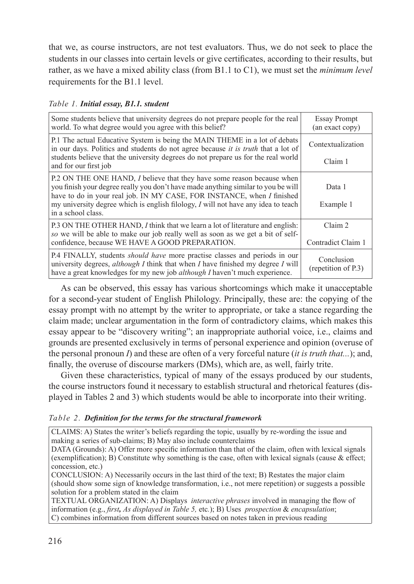that we, as course instructors, are not test evaluators. Thus, we do not seek to place the students in our classes into certain levels or give certificates, according to their results, but rather, as we have a mixed ability class (from B1.1 to C1), we must set the *minimum level* requirements for the B1.1 level.

*Table 1. Initial essay, B1.1. student*

| Some students believe that university degrees do not prepare people for the real<br>world. To what degree would you agree with this belief?                                                                                                                                                                                                      | <b>Essay Prompt</b><br>(an exact copy) |
|--------------------------------------------------------------------------------------------------------------------------------------------------------------------------------------------------------------------------------------------------------------------------------------------------------------------------------------------------|----------------------------------------|
| P.1 The actual Educative System is being the MAIN THEME in a lot of debats<br>in our days. Politics and students do not agree because it is truth that a lot of                                                                                                                                                                                  | Contextualization                      |
| students believe that the university degrees do not prepare us for the real world<br>and for our first job                                                                                                                                                                                                                                       | Claim 1                                |
| P.2 ON THE ONE HAND, I believe that they have some reason because when<br>you finish your degree really you don't have made anything similar to you be will<br>have to do in your real job. IN MY CASE, FOR INSTANCE, when I finished<br>my university degree which is english filology, I will not have any idea to teach<br>in a school class. | Data 1<br>Example 1                    |
| P.3 ON THE OTHER HAND, I think that we learn a lot of literature and english:<br>so we will be able to make our job really well as soon as we get a bit of self-<br>confidence, because WE HAVE A GOOD PREPARATION.                                                                                                                              | Claim 2<br>Contradict Claim 1          |
| P.4 FINALLY, students <i>should have</i> more practise classes and periods in our<br>university degrees, <i>although I</i> think that when $I$ have finished my degree $I$ will<br>have a great knowledges for my new job <i>although I</i> haven't much experience.                                                                             | Conclusion<br>(repetition of P.3)      |

As can be observed, this essay has various shortcomings which make it unacceptable for a second-year student of English Philology. Principally, these are: the copying of the essay prompt with no attempt by the writer to appropriate, or take a stance regarding the claim made; unclear argumentation in the form of contradictory claims, which makes this essay appear to be "discovery writing"; an inappropriate authorial voice, i.e., claims and grounds are presented exclusively in terms of personal experience and opinion (overuse of the personal pronoun *I*) and these are often of a very forceful nature (*it is truth that...*); and, finally, the overuse of discourse markers (DMs), which are, as well, fairly trite.

Given these characteristics, typical of many of the essays produced by our students, the course instructors found it necessary to establish structural and rhetorical features (displayed in Tables 2 and 3) which students would be able to incorporate into their writing.

# *Table 2. Definition for the terms for the structural framework*

CLAIMS: A) States the writer's beliefs regarding the topic, usually by re-wording the issue and making a series of sub-claims; B) May also include counterclaims

DATA (Grounds): A) Offer more specific information than that of the claim, often with lexical signals (exemplification); B) Constitute why something is the case, often with lexical signals (cause & effect; concession, etc.)

CONCLUSION: A) Necessarily occurs in the last third of the text; B) Restates the major claim (should show some sign of knowledge transformation, i.e., not mere repetition) or suggests a possible solution for a problem stated in the claim

TEXTUAL ORGANIZATION: A) Displays *interactive phrases* involved in managing the flow of information (e.g., *first, As displayed in Table 5,* etc*.*); B) Uses *prospection* & *encapsulation*; C) combines information from different sources based on notes taken in previous reading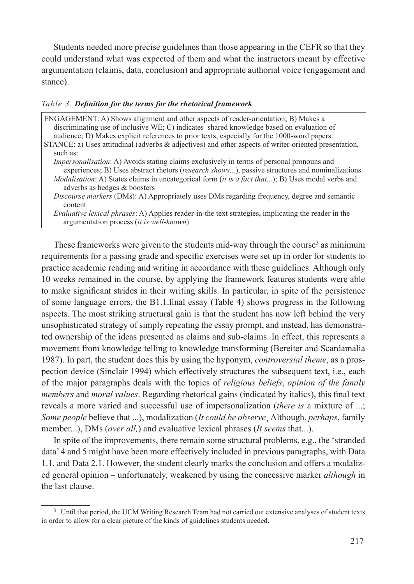Students needed more precise guidelines than those appearing in the CEFR so that they could understand what was expected of them and what the instructors meant by effective argumentation (claims, data, conclusion) and appropriate authorial voice (engagement and stance).

#### *Table 3. Definition for the terms for the rhetorical framework*

| ENGAGEMENT: A) Shows alignment and other aspects of reader-orientation; B) Makes a<br>discriminating use of inclusive WE; C) indicates shared knowledge based on evaluation of<br>audience; D) Makes explicit references to prior texts, especially for the 1000-word papers.                                                                                     |
|-------------------------------------------------------------------------------------------------------------------------------------------------------------------------------------------------------------------------------------------------------------------------------------------------------------------------------------------------------------------|
| STANCE: a) Uses attitudinal (adverbs $\&$ adjectives) and other aspects of writer-oriented presentation,                                                                                                                                                                                                                                                          |
| such as:                                                                                                                                                                                                                                                                                                                                                          |
| <i>Impersonalisation</i> : A) Avoids stating claims exclusively in terms of personal pronouns and<br>experiences; B) Uses abstract rhetors ( <i>research shows</i> ), passive structures and nominalizations<br><i>Modalisation:</i> A) States claims in uncategorical form ( <i>it is a fact that</i> ); B) Uses modal verbs and<br>adverbs as hedges & boosters |
| <i>Discourse markers</i> (DMs): A) Appropriately uses DMs regarding frequency, degree and semantic<br>content                                                                                                                                                                                                                                                     |
| <i>Evaluative lexical phrases:</i> A) Applies reader-in-the text strategies, implicating the reader in the<br>argumentation process (it is well-known)                                                                                                                                                                                                            |

These frameworks were given to the students mid-way through the course<sup>3</sup> as minimum requirements for a passing grade and specific exercises were set up in order for students to practice academic reading and writing in accordance with these guidelines. Although only 10 weeks remained in the course, by applying the framework features students were able to make significant strides in their writing skills. In particular, in spite of the persistence of some language errors, the B1.1.final essay (Table 4) shows progress in the following aspects. The most striking structural gain is that the student has now left behind the very unsophisticated strategy of simply repeating the essay prompt, and instead, has demonstrated ownership of the ideas presented as claims and sub-claims. In effect, this represents a movement from knowledge telling to knowledge transforming (Bereiter and Scardamalia 1987). In part, the student does this by using the hyponym, *controversial theme*, as a prospection device (Sinclair 1994) which effectively structures the subsequent text, i.e., each of the major paragraphs deals with the topics of *religious beliefs*, *opinion of the family members* and *moral values*. Regarding rhetorical gains (indicated by italics), this final text reveals a more varied and successful use of impersonalization (*there is* a mixture of ...; *Some people* believe that ...), modalization (*It could be observe*¸ Although, *perhaps*, family member...), DMs (*over all,*) and evaluative lexical phrases (*It seems* that...).

In spite of the improvements, there remain some structural problems, e.g., the 'stranded data' 4 and 5 might have been more effectively included in previous paragraphs, with Data 1.1. and Data 2.1. However, the student clearly marks the conclusion and offers a modalized general opinion – unfortunately, weakened by using the concessive marker *although* in the last clause.

<sup>&</sup>lt;sup>3</sup> Until that period, the UCM Writing Research Team had not carried out extensive analyses of student texts in order to allow for a clear picture of the kinds of guidelines students needed.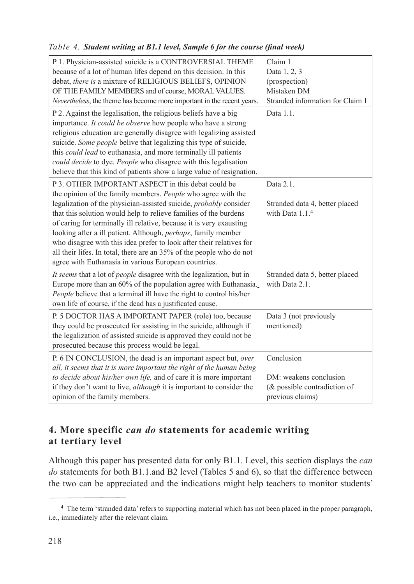# *Table 4. Student writing at B1.1 level, Sample 6 for the course (final week)*

| P 1. Physician-assisted suicide is a CONTROVERSIAL THEME<br>because of a lot of human lifes depend on this decision. In this<br>debat, there is a mixture of RELIGIOUS BELIEFS, OPINION<br>OF THE FAMILY MEMBERS and of course, MORAL VALUES.<br>Nevertheless, the theme has become more important in the recent years.                                                                                                                                                                                                                                                                                            | Claim 1<br>Data 1, 2, 3<br>(prospection)<br>Mistaken DM<br>Stranded information for Claim 1 |
|--------------------------------------------------------------------------------------------------------------------------------------------------------------------------------------------------------------------------------------------------------------------------------------------------------------------------------------------------------------------------------------------------------------------------------------------------------------------------------------------------------------------------------------------------------------------------------------------------------------------|---------------------------------------------------------------------------------------------|
| P 2. Against the legalisation, the religious beliefs have a big<br>importance. It could be observe how people who have a strong<br>religious education are generally disagree with legalizing assisted<br>suicide. Some people belive that legalizing this type of suicide,<br>this could lead to euthanasia, and more terminally ill patients<br>could decide to dye. People who disagree with this legalisation<br>believe that this kind of patients show a large value of resignation.                                                                                                                         | Data 1.1.                                                                                   |
| P 3. OTHER IMPORTANT ASPECT in this debat could be<br>the opinion of the family members. People who agree with the<br>legalization of the physician-assisted suicide, <i>probably</i> consider<br>that this solution would help to relieve families of the burdens<br>of caring for terminally ill relative, because it is very exausting<br>looking after a ill patient. Although, perhaps, family member<br>who disagree with this idea prefer to look after their relatives for<br>all their lifes. In total, there are an 35% of the people who do not<br>agree with Euthanasia in various European countries. | Data 2.1.<br>Stranded data 4, better placed<br>with Data $1.14$                             |
| It seems that a lot of people disagree with the legalization, but in<br>Europe more than an 60% of the population agree with Euthanasia.<br>People believe that a terminal ill have the right to control his/her<br>own life of course, if the dead has a justificated cause.                                                                                                                                                                                                                                                                                                                                      | Stranded data 5, better placed<br>with Data 2.1.                                            |
| P. 5 DOCTOR HAS A IMPORTANT PAPER (role) too, because<br>they could be prosecuted for assisting in the suicide, although if<br>the legalization of assisted suicide is approved they could not be<br>prosecuted because this process would be legal.                                                                                                                                                                                                                                                                                                                                                               | Data 3 (not previously<br>mentioned)                                                        |
| P. 6 IN CONCLUSION, the dead is an important aspect but, over<br>all, it seems that it is more important the right of the human being<br>to decide about his/her own life, and of care it is more important<br>if they don't want to live, <i>although</i> it is important to consider the<br>opinion of the family members.                                                                                                                                                                                                                                                                                       | Conclusion<br>DM: weakens conclusion<br>(& possible contradiction of<br>previous claims)    |

# **4. More specific** *can do* **statements for academic writing at tertiary level**

Although this paper has presented data for only B1.1. Level, this section displays the *can do* statements for both B1.1.and B2 level (Tables 5 and 6), so that the difference between the two can be appreciated and the indications might help teachers to monitor students'

<sup>4</sup> The term 'stranded data' refers to supporting material which has not been placed in the proper paragraph, i.e., immediately after the relevant claim.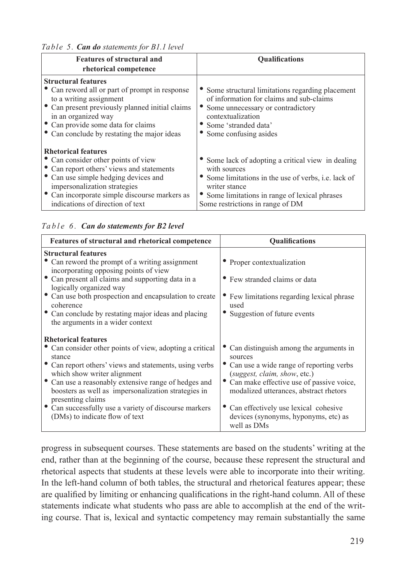*Table 5. Can do statements for B1.1 level*

| <b>Features of structural and</b><br>rhetorical competence                                                                                                                                                                                                                  | <b>Qualifications</b>                                                                                                                                                                                                           |
|-----------------------------------------------------------------------------------------------------------------------------------------------------------------------------------------------------------------------------------------------------------------------------|---------------------------------------------------------------------------------------------------------------------------------------------------------------------------------------------------------------------------------|
| <b>Structural features</b><br>• Can reword all or part of prompt in response<br>to a writing assignment<br>• Can present previously planned initial claims<br>in an organized way<br>• Can provide some data for claims<br>• Can conclude by restating the major ideas      | • Some structural limitations regarding placement<br>of information for claims and sub-claims<br>Some unnecessary or contradictory<br>contextualization<br>• Some 'stranded data'<br>• Some confusing asides                    |
| <b>Rhetorical features</b><br>• Can consider other points of view<br>• Can report others' views and statements<br>• Can use simple hedging devices and<br>impersonalization strategies<br>• Can incorporate simple discourse markers as<br>indications of direction of text | • Some lack of adopting a critical view in dealing<br>with sources<br>• Some limitations in the use of verbs, i.e. lack of<br>writer stance<br>Some limitations in range of lexical phrases<br>Some restrictions in range of DM |

## *Table 6. Can do statements for B2 level*

| Features of structural and rhetorical competence                                                                                 | <b>Oualifications</b>                                                                         |
|----------------------------------------------------------------------------------------------------------------------------------|-----------------------------------------------------------------------------------------------|
| <b>Structural features</b>                                                                                                       |                                                                                               |
| Can reword the prompt of a writing assignment<br>incorporating opposing points of view                                           | • Proper contextualization                                                                    |
| • Can present all claims and supporting data in a<br>logically organized way                                                     | • Few stranded claims or data                                                                 |
| • Can use both prospection and encapsulation to create<br>coherence                                                              | Few limitations regarding lexical phrase<br>used                                              |
| • Can conclude by restating major ideas and placing<br>the arguments in a wider context                                          | • Suggestion of future events                                                                 |
| <b>Rhetorical features</b>                                                                                                       |                                                                                               |
| • Can consider other points of view, adopting a critical<br>stance                                                               | Can distinguish among the arguments in<br>sources                                             |
| • Can report others' views and statements, using verbs<br>which show writer alignment                                            | Can use a wide range of reporting verbs<br>(suggest, claim, show, etc.)                       |
| • Can use a reasonably extensive range of hedges and<br>boosters as well as impersonalization strategies in<br>presenting claims | Can make effective use of passive voice,<br>modalized utterances, abstract rhetors            |
| • Can successfully use a variety of discourse markers<br>(DMs) to indicate flow of text                                          | • Can effectively use lexical cohesive<br>devices (synonyms, hyponyms, etc) as<br>well as DMs |

progress in subsequent courses. These statements are based on the students' writing at the end, rather than at the beginning of the course, because these represent the structural and rhetorical aspects that students at these levels were able to incorporate into their writing. In the left-hand column of both tables, the structural and rhetorical features appear; these are qualified by limiting or enhancing qualifications in the right-hand column. All of these statements indicate what students who pass are able to accomplish at the end of the writing course. That is, lexical and syntactic competency may remain substantially the same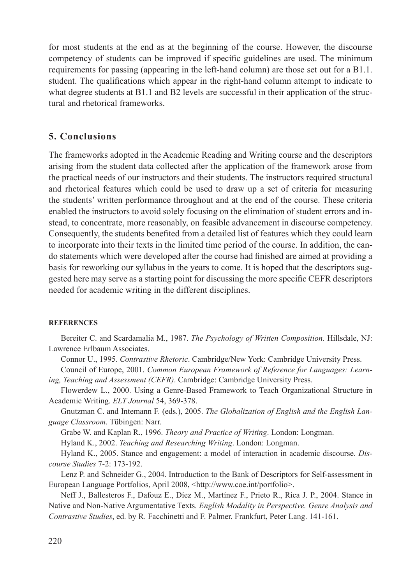for most students at the end as at the beginning of the course. However, the discourse competency of students can be improved if specific guidelines are used. The minimum requirements for passing (appearing in the left-hand column) are those set out for a B1.1. student. The qualifications which appear in the right-hand column attempt to indicate to what degree students at B1.1 and B2 levels are successful in their application of the structural and rhetorical frameworks.

# **5. Conclusions**

The frameworks adopted in the Academic Reading and Writing course and the descriptors arising from the student data collected after the application of the framework arose from the practical needs of our instructors and their students. The instructors required structural and rhetorical features which could be used to draw up a set of criteria for measuring the students' written performance throughout and at the end of the course. These criteria enabled the instructors to avoid solely focusing on the elimination of student errors and instead, to concentrate, more reasonably, on feasible advancement in discourse competency. Consequently, the students benefited from a detailed list of features which they could learn to incorporate into their texts in the limited time period of the course. In addition, the cando statements which were developed after the course had finished are aimed at providing a basis for reworking our syllabus in the years to come. It is hoped that the descriptors suggested here may serve as a starting point for discussing the more specific CEFR descriptors needed for academic writing in the different disciplines.

### **References**

Bereiter C. and Scardamalia M., 1987. *The Psychology of Written Composition.* Hillsdale, NJ: Lawrence Erlbaum Associates.

Connor U., 1995. *Contrastive Rhetoric*. Cambridge/New York: Cambridge University Press.

Council of Europe, 2001. *Common European Framework of Reference for Languages: Learning, Teaching and Assessment (CEFR)*. Cambridge: Cambridge University Press.

Flowerdew L., 2000. Using a Genre-Based Framework to Teach Organizational Structure in Academic Writing. *ELT Journal* 54, 369-378.

Gnutzman C. and Intemann F. (eds.), 2005. *The Globalization of English and the English Language Classroom*. Tübingen: Narr.

Grabe W. and Kaplan R., 1996. *Theory and Practice of Writing*. London: Longman.

Hyland K., 2002. *Teaching and Researching Writing*. London: Longman.

Hyland K., 2005. Stance and engagement: a model of interaction in academic discourse. *Discourse Studies* 7-2: 173-192.

Lenz P. and Schneider G., 2004. Introduction to the Bank of Descriptors for Self-assessment in European Language Portfolios, April 2008, <http://www.coe.int/portfolio>.

Neff J., Ballesteros F., Dafouz E., Díez M., Martínez F., Prieto R., Rica J. P., 2004. Stance in Native and Non-Native Argumentative Texts. *English Modality in Perspective. Genre Analysis and Contrastive Studies*, ed. by R. Facchinetti and F. Palmer. Frankfurt, Peter Lang. 141-161.